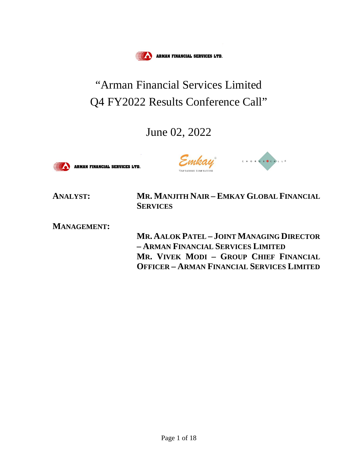

# "Arman Financial Services Limited Q4 FY2022 Results Conference Call"

# June 02, 2022





**ANALYST: MR. MANJITH NAIR – EMKAY GLOBAL FINANCIAL SERVICES**

**MANAGEMENT:**

**MR. AALOK PATEL – JOINT MANAGING DIRECTOR – ARMAN FINANCIAL SERVICES LIMITED MR. VIVEK MODI – GROUP CHIEF FINANCIAL OFFICER – ARMAN FINANCIAL SERVICES LIMITED**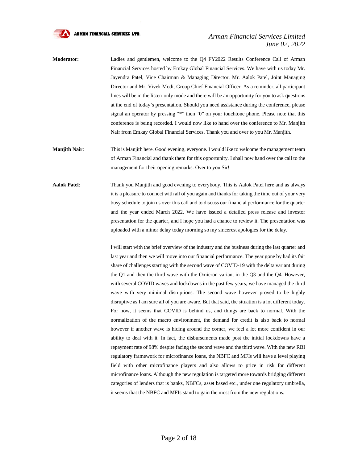

# *Arman Financial Services Limited June 02, 2022*

- **Moderator:** Ladies and gentlemen, welcome to the Q4 FY2022 Results Conference Call of Arman Financial Services hosted by Emkay Global Financial Services. We have with us today Mr. Jayendra Patel, Vice Chairman & Managing Director, Mr. Aalok Patel, Joint Managing Director and Mr. Vivek Modi, Group Chief Financial Officer. As a reminder, all participant lines will be in the listen-only mode and there will be an opportunity for you to ask questions at the end of today's presentation. Should you need assistance during the conference, please signal an operator by pressing "\*" then "0" on your touchtone phone. Please note that this conference is being recorded. I would now like to hand over the conference to Mr. Manjith Nair from Emkay Global Financial Services. Thank you and over to you Mr. Manjith.
- **Manjith Nair:** This is Manjith here. Good evening, everyone. I would like to welcome the management team of Arman Financial and thank them for this opportunity. I shall now hand over the call to the management for their opening remarks. Over to you Sir!
- **Aalok Patel**: Thank you Manjith and good evening to everybody. This is Aalok Patel here and as always it is a pleasure to connect with all of you again and thanks for taking the time out of your very busy schedule to join us over this call and to discuss our financial performance for the quarter and the year ended March 2022. We have issued a detailed press release and investor presentation for the quarter, and I hope you had a chance to review it. The presentation was uploaded with a minor delay today morning so my sincerest apologies for the delay.

I will start with the brief overview of the industry and the business during the last quarter and last year and then we will move into our financial performance. The year gone by had its fair share of challenges starting with the second wave of COVID-19 with the delta variant during the Q1 and then the third wave with the Omicron variant in the Q3 and the Q4. However, with several COVID waves and lockdowns in the past few years, we have managed the third wave with very minimal disruptions. The second wave however proved to be highly disruptive as I am sure all of you are aware. But that said, the situation is a lot different today. For now, it seems that COVID is behind us, and things are back to normal. With the normalization of the macro environment, the demand for credit is also back to normal however if another wave is hiding around the corner, we feel a lot more confident in our ability to deal with it. In fact, the disbursements made post the initial lockdowns have a repayment rate of 98% despite facing the second wave and the third wave. With the new RBI regulatory framework for microfinance loans, the NBFC and MFIs will have a level playing field with other microfinance players and also allows to price in risk for different microfinance loans. Although the new regulation is targeted more towards bridging different categories of lenders that is banks, NBFCs, asset based etc., under one regulatory umbrella, it seems that the NBFC and MFIs stand to gain the most from the new regulations.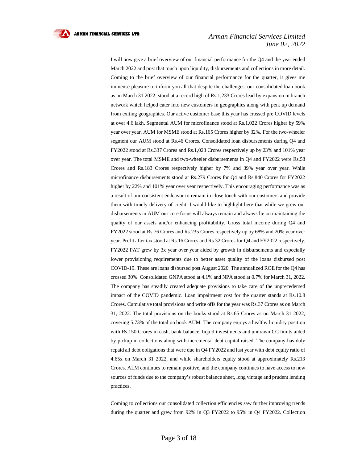#### *Arman Financial Services Limited June 02, 2022*

I will now give a brief overview of our financial performance for the Q4 and the year ended March 2022 and post that touch upon liquidity, disbursements and collections in more detail. Coming to the brief overview of our financial performance for the quarter, it gives me immense pleasure to inform you all that despite the challenges, our consolidated loan book as on March 31 2022, stood at a record high of Rs.1,233 Crores lead by expansion in branch network which helped cater into new customers in geographies along with pent up demand from exiting geographies. Our active customer base this year has crossed pre COVID levels at over 4.6 lakh. Segmental AUM for microfinance stood at Rs.1,022 Crores higher by 59% year over year. AUM for MSME stood at Rs.165 Crores higher by 32%. For the two-wheeler segment our AUM stood at Rs.46 Crores. Consolidated loan disbursements during Q4 and FY2022 stood at Rs.337 Crores and Rs.1,023 Crores respectively up by 23% and 101% year over year. The total MSME and two-wheeler disbursements in Q4 and FY2022 were Rs.58 Crores and Rs.183 Crores respectively higher by 7% and 39% year over year. While microfinance disbursements stood at Rs.279 Crores for Q4 and Rs.840 Crores for FY2022 higher by 22% and 101% year over year respectively. This encouraging performance was as a result of our consistent endeavor to remain in close touch with our customers and provide them with timely delivery of credit. I would like to highlight here that while we grew our disbursements in AUM our core focus will always remain and always lie on maintaining the quality of our assets and/or enhancing profitability. Gross total income during Q4 and FY2022 stood at Rs.76 Crores and Rs.235 Crores respectively up by 68% and 20% year over year. Profit after tax stood at Rs.16 Crores and Rs.32 Crores for Q4 and FY2022 respectively. FY2022 PAT grew by 3x year over year aided by growth in disbursements and especially lower provisioning requirements due to better asset quality of the loans disbursed post COVID-19. These are loans disbursed post August 2020. The annualized ROE for the Q4 has crossed 30%. Consolidated GNPA stood at 4.1% and NPA stood at 0.7% for March 31, 2022. The company has steadily created adequate provisions to take care of the unprecedented impact of the COVID pandemic. Loan impairment cost for the quarter stands at Rs.10.8 Crores. Cumulative total provisions and write offs for the year was Rs.37 Crores as on March 31, 2022. The total provisions on the books stood at Rs.65 Crores as on March 31 2022, covering 5.73% of the total on book AUM. The company enjoys a healthy liquidity position with Rs.150 Crores in cash, bank balance, liquid investments and undrawn CC limits aided by pickup in collections along with incremental debt capital raised. The company has duly repaid all debt obligations that were due in Q4 FY2022 and last year with debt equity ratio of 4.65x on March 31 2022, and while shareholders equity stood at approximately Rs.213 Crores. ALM continues to remain positive, and the company continues to have access to new sources of funds due to the company's robust balance sheet, long vintage and prudent lending practices.

Coming to collections our consolidated collection efficiencies saw further improving trends during the quarter and grew from 92% in Q3 FY2022 to 95% in Q4 FY2022. Collection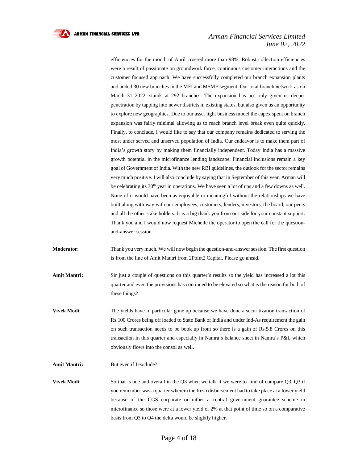#### *Arman Financial Services Limited June 02, 2022*

efficiencies for the month of April crossed more than 98%. Robust collection efficiencies were a result of passionate on groundwork force, continuous customer interactions and the customer focused approach. We have successfully completed our branch expansion plants and added 30 new branches in the MFI and MSME segment. Our total branch network as on March 31 2022, stands at 292 branches. The expansion has not only given us deeper penetration by tapping into newer districts in existing states, but also given us an opportunity to explore new geographies. Due to our asset light business model the capex spent on branch expansion was fairly minimal allowing us to reach branch level break even quite quickly. Finally, to conclude, I would like to say that our company remains dedicated to serving the most under served and unserved population of India. Our endeavor is to make them part of India's growth story by making them financially independent. Today India has a massive growth potential in the microfinance lending landscape. Financial inclusions remain a key goal of Government of India. With the new RBI guidelines, the outlook for the sector remains very much positive. I will also conclude by saying that in September of this year, Arman will be celebrating its 30<sup>th</sup> year in operations. We have seen a lot of ups and a few downs as well. None of it would have been as enjoyable or meaningful without the relationships we have built along with way with our employees, customers, lenders, investors, the board, our peers and all the other stake holders. It is a big thank you from our side for your constant support. Thank you and I would now request Michelle the operator to open the call for the questionand-answer session.

**Moderator**: Thank you very much. We will now begin the question-and-answer session. The first question is from the line of Amit Mantri from 2Point2 Capital. Please go ahead.

**Amit Mantri:** Sir just a couple of questions on this quarter's results so the yield has increased a lot this quarter and even the provisions has continued to be elevated so what is the reason for both of these things?

**Vivek Modi:** The yields have in particular gone up because we have done a securitization transaction of Rs.100 Crores being off loaded to State Bank of India and under Ind-As requirement the gain on such transaction needs to be book up front so there is a gain of Rs.5.8 Crores on this transaction in this quarter and especially in Namra's balance sheet in Namra's P&L which obviously flows into the consol as well.

Amit Mantri: But even if I exclude?

**Vivek Modi:** So that is one and overall in the Q3 when we talk if we were to kind of compare Q3, Q3 if you remember was a quarter wherein the fresh disbursement had to take place at a lower yield because of the CGS corporate or rather a central government guarantee scheme in microfinance so those were at a lower yield of 2% at that point of time so on a comparative basis from Q3 to Q4 the delta would be slightly higher.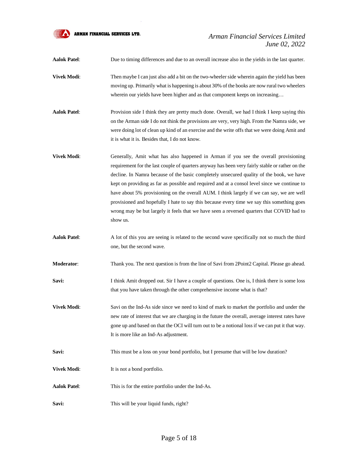

# *Arman Financial Services Limited June 02, 2022*

**Aalok Patel**: Due to timing differences and due to an overall increase also in the yields in the last quarter.

- **Vivek Modi:** Then maybe I can just also add a bit on the two-wheeler side wherein again the yield has been moving up. Primarily what is happening is about 30% of the books are now rural two wheelers wherein our yields have been higher and as that component keeps on increasing…
- **Aalok Patel**: Provision side I think they are pretty much done. Overall, we had I think I keep saying this on the Arman side I do not think the provisions are very, very high. From the Namra side, we were doing lot of clean up kind of an exercise and the write offs that we were doing Amit and it is what it is. Besides that, I do not know.
- **Vivek Modi:** Generally, Amit what has also happened in Arman if you see the overall provisioning requirement for the last couple of quarters anyway has been very fairly stable or rather on the decline. In Namra because of the basic completely unsecured quality of the book, we have kept on providing as far as possible and required and at a consol level since we continue to have about 5% provisioning on the overall AUM. I think largely if we can say, we are well provisioned and hopefully I hate to say this because every time we say this something goes wrong may be but largely it feels that we have seen a reversed quarters that COVID had to show us.
- **Aalok Patel**: A lot of this you are seeing is related to the second wave specifically not so much the third one, but the second wave.

**Moderator:** Thank you. The next question is from the line of Savi from 2Point2 Capital. Please go ahead.

- **Savi:** I think Amit dropped out. Sir I have a couple of questions. One is, I think there is some loss that you have taken through the other comprehensive income what is that?
- **Vivek Modi:** Savi on the Ind-As side since we need to kind of mark to market the portfolio and under the new rate of interest that we are charging in the future the overall, average interest rates have gone up and based on that the OCI will turn out to be a notional loss if we can put it that way. It is more like an Ind-As adjustment.
- **Savi:** This must be a loss on your bond portfolio, but I presume that will be low duration?
- **Vivek Modi:** It is not a bond portfolio.
- **Aalok Patel**: This is for the entire portfolio under the Ind-As.
- Savi: This will be your liquid funds, right?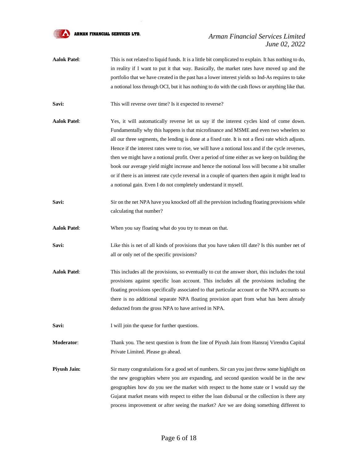

# *Arman Financial Services Limited June 02, 2022*

**Aalok Patel**: This is not related to liquid funds. It is a little bit complicated to explain. It has nothing to do, in reality if I want to put it that way. Basically, the market rates have moved up and the portfolio that we have created in the past has a lower interest yields so Ind-As requires to take a notional loss through OCI, but it has nothing to do with the cash flows or anything like that.

Savi: This will reverse over time? Is it expected to reverse?

- **Aalok Patel**: Yes, it will automatically reverse let us say if the interest cycles kind of come down. Fundamentally why this happens is that microfinance and MSME and even two wheelers so all our three segments, the lending is done at a fixed rate. It is not a flexi rate which adjusts. Hence if the interest rates were to rise, we will have a notional loss and if the cycle reverses, then we might have a notional profit. Over a period of time either as we keep on building the book our average yield might increase and hence the notional loss will become a bit smaller or if there is an interest rate cycle reversal in a couple of quarters then again it might lead to a notional gain. Even I do not completely understand it myself.
- **Savi:** Sir on the net NPA have you knocked off all the prevision including floating provisions while calculating that number?

**Aalok Patel**: When you say floating what do you try to mean on that.

- **Savi:** Like this is net of all kinds of provisions that you have taken till date? Is this number net of all or only net of the specific provisions?
- **Aalok Patel**: This includes all the provisions, so eventually to cut the answer short, this includes the total provisions against specific loan account. This includes all the provisions including the floating provisions specifically associated to that particular account or the NPA accounts so there is no additional separate NPA floating provision apart from what has been already deducted from the gross NPA to have arrived in NPA.
- **Savi:** I will join the queue for further questions.
- **Moderator**: Thank you. The next question is from the line of Piyush Jain from Hansraj Virendra Capital Private Limited. Please go ahead.
- **Piyush Jain:** Sir many congratulations for a good set of numbers. Sir can you just throw some highlight on the new geographies where you are expanding, and second question would be in the new geographies how do you see the market with respect to the home state or I would say the Gujarat market means with respect to either the loan disbursal or the collection is there any process improvement or after seeing the market? Are we are doing something different to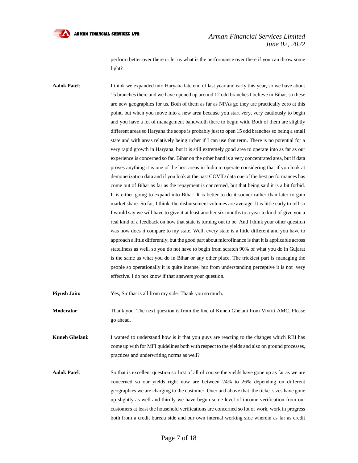

#### *Arman Financial Services Limited June 02, 2022*

perform better over there or let us what is the performance over there if you can throw some light?

**Aalok Patel**: I think we expanded into Haryana late end of last year and early this year, so we have about 15 branches there and we have opened up around 12 odd branches I believe in Bihar, so these are new geographies for us. Both of them as far as NPAs go they are practically zero at this point, but when you move into a new area because you start very, very cautiously to begin and you have a lot of management bandwidth there to begin with. Both of them are slightly different areas so Haryana the scope is probably just to open 15 odd branches so being a small state and with areas relatively being richer if I can use that term. There is no potential for a very rapid growth in Haryana, but it is still extremely good area to operate into as far as our experience is concerned so far. Bihar on the other hand is a very concentrated area, but if data proves anything it is one of the best areas in India to operate considering that if you look at demonetization data and if you look at the past COVID data one of the best performances has come out of Bihar as far as the repayment is concerned, but that being said it is a bit forbid. It is either going to expand into Bihar. It is better to do it sooner rather than later to gain market share. So far, I think, the disbursement volumes are average. It is little early to tell so I would say we will have to give it at least another six months to a year to kind of give you a real kind of a feedback on how that state is turning out to be. And I think your other question was how does it compare to my state. Well, every state is a little different and you have to approach a little differently, but the good part about microfinance is that it is applicable across stateliness as well, so you do not have to begin from scratch 90% of what you do in Gujarat is the same as what you do in Bihar or any other place. The trickiest part is managing the people so operationally it is quite intense, but from understanding perceptive it is not very effective. I do not know if that answers your question.

**Piyush Jain:** Yes, Sir that is all from my side. Thank you so much.

**Moderator**: Thank you. The next question is from the line of Kuneh Ghelani from Vivriti AMC. Please go ahead.

**Kuneh Ghelani:** I wanted to understand how is it that you guys are reacting to the changes which RBI has come up with for MFI guidelines both with respect to the yields and also on ground processes, practices and underwriting norms as well?

**Aalok Patel**: So that is excellent question so first of all of course the yields have gone up as far as we are concerned so our yields right now are between 24% to 26% depending on different geographies we are charging to the customer. Over and above that, the ticket sizes have gone up slightly as well and thirdly we have begun some level of income verification from our customers at least the household verifications are concerned so lot of work, work in progress both from a credit bureau side and our own internal working side wherein as far as credit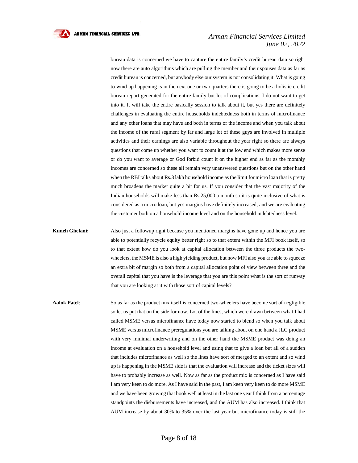

## *Arman Financial Services Limited June 02, 2022*

bureau data is concerned we have to capture the entire family's credit bureau data so right now there are auto algorithms which are pulling the member and their spouses data as far as credit bureau is concerned, but anybody else our system is not consolidating it. What is going to wind up happening is in the next one or two quarters there is going to be a holistic credit bureau report generated for the entire family but lot of complications. I do not want to get into it. It will take the entire basically session to talk about it, but yes there are definitely challenges in evaluating the entire households indebtedness both in terms of microfinance and any other loans that may have and both in terms of the income and when you talk about the income of the rural segment by far and large lot of these guys are involved in multiple activities and their earnings are also variable throughout the year right so there are always questions that come up whether you want to count it at the low end which makes more sense or do you want to average or God forbid count it on the higher end as far as the monthly incomes are concerned so these all remain very unanswered questions but on the other hand when the RBI talks about Rs.3 lakh household income as the limit for micro loan that is pretty much broadens the market quite a bit for us. If you consider that the vast majority of the Indian households will make less than Rs.25,000 a month so it is quite inclusive of what is considered as a micro loan, but yes margins have definitely increased, and we are evaluating the customer both on a household income level and on the household indebtedness level.

**Kuneh Ghelani:** Also just a followup right because you mentioned margins have gone up and hence you are able to potentially recycle equity better right so to that extent within the MFI book itself, so to that extent how do you look at capital allocation between the three products the twowheelers, the MSME is also a high yielding product, but now MFI also you are able to squeeze an extra bit of margin so both from a capital allocation point of view between three and the overall capital that you have is the leverage that you are this point what is the sort of runway that you are looking at it with those sort of capital levels?

**Aalok Patel**: So as far as the product mix itself is concerned two-wheelers have become sort of negligible so let us put that on the side for now. Lot of the lines, which were drawn between what I had called MSME versus microfinance have today now started to blend so when you talk about MSME versus microfinance preregulations you are talking about on one hand a JLG product with very minimal underwriting and on the other hand the MSME product was doing an income at evaluation on a household level and using that to give a loan but all of a sudden that includes microfinance as well so the lines have sort of merged to an extent and so wind up is happening in the MSME side is that the evaluation will increase and the ticket sizes will have to probably increase as well. Now as far as the product mix is concerned as I have said I am very keen to do more. As I have said in the past, I am keen very keen to do more MSME and we have been growing that book well at least in the last one year I think from a percentage standpoints the disbursements have increased, and the AUM has also increased. I think that AUM increase by about 30% to 35% over the last year but microfinance today is still the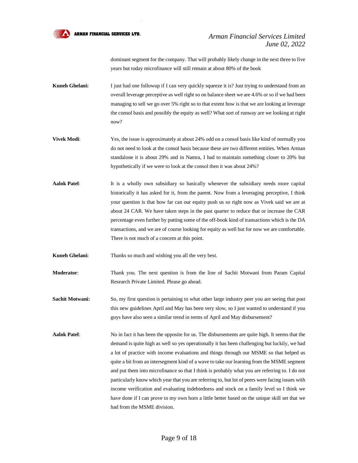

dominant segment for the company. That will probably likely change in the next three to five years but today microfinance will still remain at about 80% of the book

- **Kuneh Ghelani:** I just had one followup if I can very quickly squeeze it is? Just trying to understand from an overall leverage perceptive as well right so on balance sheet we are 4.6% or so if we had been managing to sell we go over 5% right so to that extent how is that we are looking at leverage the consol basis and possibly the equity as well? What sort of runway are we looking at right now?
- **Vivek Modi:** Yes, the issue is approximately at about 24% odd on a consol basis like kind of normally you do not need to look at the consol basis because these are two different entities. When Arman standalone it is about 29% and in Namra, I had to maintain something closer to 20% but hypothetically if we were to look at the consol then it was about 24%?
- **Aalok Patel**: It is a wholly own subsidiary so basically whenever the subsidiary needs more capital historically it has asked for it, from the parent. Now from a leveraging perceptive, I think your question is that how far can our equity push us so right now as Vivek said we are at about 24 CAR. We have taken steps in the past quarter to reduce that or increase the CAR percentage even further by putting some of the off-book kind of transactions which is the DA transactions, and we are of course looking for equity as well but for now we are comfortable. There is not much of a concern at this point.

**Kuneh Ghelani:** Thanks so much and wishing you all the very best.

- **Moderator**: Thank you. The next question is from the line of Sachit Motwani from Param Capital Research Private Limited. Please go ahead.
- **Sachit Motwani:** So, my first question is pertaining to what other large industry peer you are seeing that post this new guidelines April and May has been very slow, so I just wanted to understand if you guys have also seen a similar trend in terms of April and May disbursement?
- **Aalok Patel**: No in fact it has been the opposite for us. The disbursements are quite high. It seems that the demand is quite high as well so yes operationally it has been challenging but luckily, we had a lot of practice with income evaluations and things through our MSME so that helped us quite a bit from an intersegment kind of a wave to take our learning from the MSME segment and put them into microfinance so that I think is probably what you are referring to. I do not particularly know which year that you are referring to, but lot of peers were facing issues with income verification and evaluating indebtedness and stock on a family level so I think we have done if I can prove to my own horn a little better based on the unique skill set that we had from the MSME division.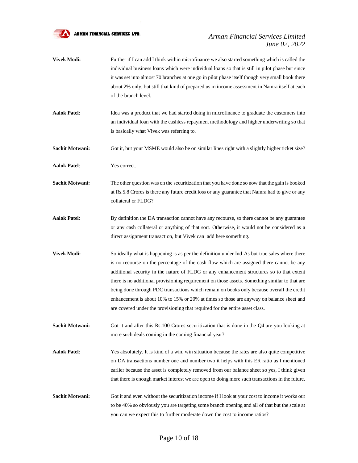

# *Arman Financial Services Limited June 02, 2022*

- **Vivek Modi:** Further if I can add I think within microfinance we also started something which is called the individual business loans which were individual loans so that is still in pilot phase but since it was set into almost 70 branches at one go in pilot phase itself though very small book there about 2% only, but still that kind of prepared us in income assessment in Namra itself at each of the branch level.
- **Aalok Patel**: Idea was a product that we had started doing in microfinance to graduate the customers into an individual loan with the cashless repayment methodology and higher underwriting so that is basically what Vivek was referring to.
- **Sachit Motwani:** Got it, but your MSME would also be on similar lines right with a slightly higher ticket size?

**Aalok Patel**: Yes correct.

- **Sachit Motwani:** The other question was on the securitization that you have done so now that the gain is booked at Rs.5.8 Crores is there any future credit loss or any guarantee that Namra had to give or any collateral or FLDG?
- **Aalok Patel**: By definition the DA transaction cannot have any recourse, so there cannot be any guarantee or any cash collateral or anything of that sort. Otherwise, it would not be considered as a direct assignment transaction, but Vivek can add here something.
- **Vivek Modi:** So ideally what is happening is as per the definition under Ind-As but true sales where there is no recourse on the percentage of the cash flow which are assigned there cannot be any additional security in the nature of FLDG or any enhancement structures so to that extent there is no additional provisioning requirement on those assets. Something similar to that are being done through PDC transactions which remain on books only because overall the credit enhancement is about 10% to 15% or 20% at times so those are anyway on balance sheet and are covered under the provisioning that required for the entire asset class.
- **Sachit Motwani:** Got it and after this Rs.100 Crores securitization that is done in the Q4 are you looking at more such deals coming in the coming financial year?
- **Aalok Patel**: Yes absolutely. It is kind of a win, win situation because the rates are also quite competitive on DA transactions number one and number two it helps with this ER ratio as I mentioned earlier because the asset is completely removed from our balance sheet so yes, I think given that there is enough market interest we are open to doing more such transactions in the future.
- **Sachit Motwani:** Got it and even without the securitization income if I look at your cost to income it works out to be 40% so obviously you are targeting some branch opening and all of that but the scale at you can we expect this to further moderate down the cost to income ratios?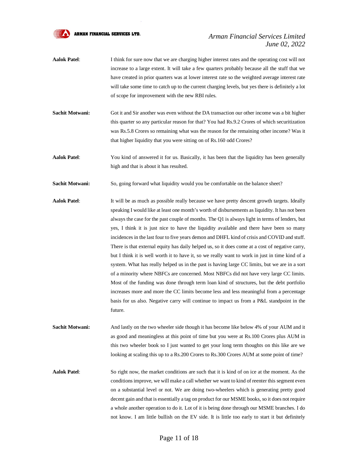

# *Arman Financial Services Limited June 02, 2022*

- **Aalok Patel**: I think for sure now that we are charging higher interest rates and the operating cost will not increase to a large extent. It will take a few quarters probably because all the stuff that we have created in prior quarters was at lower interest rate so the weighted average interest rate will take some time to catch up to the current charging levels, but yes there is definitely a lot of scope for improvement with the new RBI rules.
- **Sachit Motwani:** Got it and Sir another was even without the DA transaction our other income was a bit higher this quarter so any particular reason for that? You had Rs.9.2 Crores of which securitization was Rs.5.8 Crores so remaining what was the reason for the remaining other income? Was it that higher liquidity that you were sitting on of Rs.160 odd Crores?
- **Aalok Patel**: You kind of answered it for us. Basically, it has been that the liquidity has been generally high and that is about it has resulted.
- **Sachit Motwani:** So, going forward what liquidity would you be comfortable on the balance sheet?
- **Aalok Patel**: It will be as much as possible really because we have pretty descent growth targets. Ideally speaking I would like at least one month's worth of disbursements as liquidity. It has not been always the case for the past couple of months. The Q1 is always light in terms of lenders, but yes, I think it is just nice to have the liquidity available and there have been so many incidences in the last four to five years demon and DHFL kind of crisis and COVID and stuff. There is that external equity has daily helped us, so it does come at a cost of negative carry, but I think it is well worth it to have it, so we really want to work in just in time kind of a system. What has really helped us in the past is having large CC limits, but we are in a sort of a minority where NBFCs are concerned. Most NBFCs did not have very large CC limits. Most of the funding was done through term loan kind of structures, but the debt portfolio increases more and more the CC limits become less and less meaningful from a percentage basis for us also. Negative carry will continue to impact us from a P&L standpoint in the future.
- **Sachit Motwani:** And lastly on the two wheeler side though it has become like below 4% of your AUM and it as good and meaningless at this point of time but you were at Rs.100 Crores plus AUM in this two wheeler book so I just wanted to get your long term thoughts on this like are we looking at scaling this up to a Rs.200 Crores to Rs.300 Crores AUM at some point of time?
- **Aalok Patel**: So right now, the market conditions are such that it is kind of on ice at the moment. As the conditions improve, we will make a call whether we want to kind of reenter this segment even on a substantial level or not. We are doing two-wheelers which is generating pretty good decent gain and that is essentially a tag on product for our MSME books, so it does not require a whole another operation to do it. Lot of it is being done through our MSME branches. I do not know. I am little bullish on the EV side. It is little too early to start it but definitely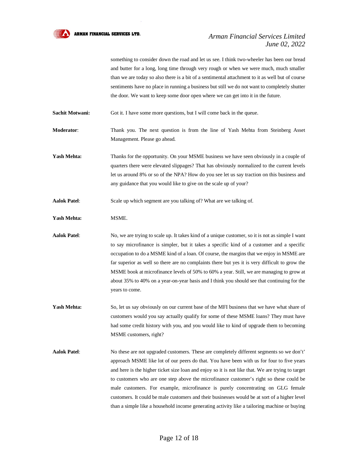

something to consider down the road and let us see. I think two-wheeler has been our bread and butter for a long, long time through very rough or when we were much, much smaller than we are today so also there is a bit of a sentimental attachment to it as well but of course sentiments have no place in running a business but still we do not want to completely shutter the door. We want to keep some door open where we can get into it in the future.

**Sachit Motwani:** Got it. I have some more questions, but I will come back in the queue.

**Moderator**: Thank you. The next question is from the line of Yash Mehta from Steinberg Asset Management. Please go ahead.

Yash Mehta: Thanks for the opportunity. On your MSME business we have seen obviously in a couple of quarters there were elevated slippages? That has obviously normalized to the current levels let us around 8% or so of the NPA? How do you see let us say traction on this business and any guidance that you would like to give on the scale up of your?

**Aalok Patel**: Scale up which segment are you talking of? What are we talking of.

Yash Mehta: MSME.

**Aalok Patel**: No, we are trying to scale up. It takes kind of a unique customer, so it is not as simple I want to say microfinance is simpler, but it takes a specific kind of a customer and a specific occupation to do a MSME kind of a loan. Of course, the margins that we enjoy in MSME are far superior as well so there are no complaints there but yes it is very difficult to grow the MSME book at microfinance levels of 50% to 60% a year. Still, we are managing to grow at about 35% to 40% on a year-on-year basis and I think you should see that continuing for the years to come.

Yash Mehta: So, let us say obviously on our current base of the MFI business that we have what share of customers would you say actually qualify for some of these MSME loans? They must have had some credit history with you, and you would like to kind of upgrade them to becoming MSME customers, right?

**Aalok Patel**: No these are not upgraded customers. These are completely different segments so we don't' approach MSME like lot of our peers do that. You have been with us for four to five years and here is the higher ticket size loan and enjoy so it is not like that. We are trying to target to customers who are one step above the microfinance customer's right so these could be male customers. For example, microfinance is purely concentrating on GLG female customers. It could be male customers and their businesses would be at sort of a higher level than a simple like a household income generating activity like a tailoring machine or buying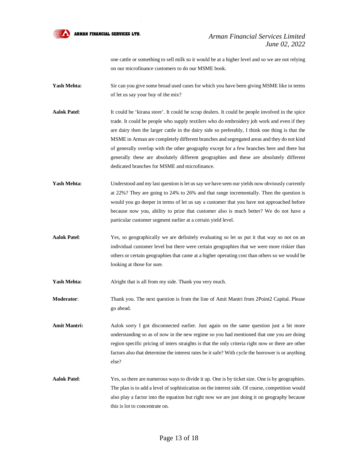

# *Arman Financial Services Limited June 02, 2022*

one cattle or something to sell milk so it would be at a higher level and so we are not relying on our microfinance customers to do our MSME book.

- Yash Mehta: Sir can you give some broad used cases for which you have been giving MSME like in terms of let us say your buy of the mix?
- Aalok Patel: It could be 'kirana store'. It could be scrap dealers. It could be people involved in the spice trade. It could be people who supply textilers who do embroidery job work and even if they are dairy then the larger cattle in the dairy side so preferably, I think one thing is that the MSME in Arman are completely different branches and segregated areas and they do not kind of generally overlap with the other geography except for a few branches here and there but generally these are absolutely different geographies and these are absolutely different dedicated branches for MSME and microfinance.
- Yash Mehta: Understood and my last question is let us say we have seen our yields now obviously currently at 22%? They are going to 24% to 26% and that range incrementally. Then the question is would you go deeper in terms of let us say a customer that you have not approached before because now you, ability to prize that customer also is much better? We do not have a particular customer segment earlier at a certain yield level.
- Aalok Patel: Yes, so geographically we are definitely evaluating so let us put it that way so not on an individual customer level but there were certain geographies that we were more riskier than others or certain geographies that came at a higher operating cost than others so we would be looking at those for sure.

Yash Mehta: Alright that is all from my side. Thank you very much.

- **Moderator**: Thank you. The next question is from the line of Amit Mantri from 2Point2 Capital. Please go ahead.
- Amit Mantri: Aalok sorry I got disconnected earlier. Just again on the same question just a bit more understanding so as of now in the new regime so you had mentioned that one you are doing region specific pricing of inters straights is that the only criteria right now or there are other factors also that determine the interest rates be it safe? With cycle the borrower is or anything else?
- **Aalok Patel**: Yes, so there are numerous ways to divide it up. One is by ticket size. One is by geographies. The plan is to add a level of sophistication on the interest side. Of course, competition would also play a factor into the equation but right now we are just doing it on geography because this is lot to concentrate on.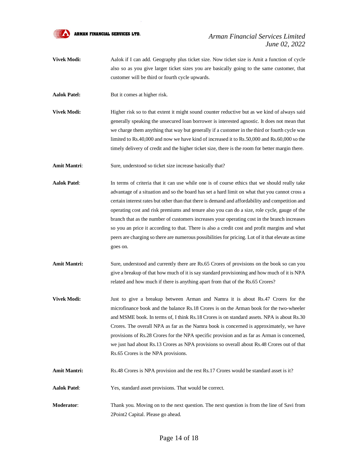

# *Arman Financial Services Limited June 02, 2022*

- **Vivek Modi:** Aalok if I can add. Geography plus ticket size. Now ticket size is Amit a function of cycle also so as you give larger ticket sizes you are basically going to the same customer, that customer will be third or fourth cycle upwards.
- **Aalok Patel:** But it comes at higher risk.
- **Vivek Modi:** Higher risk so to that extent it might sound counter reductive but as we kind of always said generally speaking the unsecured loan borrower is interested agnostic. It does not mean that we charge them anything that way but generally if a customer in the third or fourth cycle was limited to Rs.40,000 and now we have kind of increased it to Rs.50,000 and Rs.60,000 so the timely delivery of credit and the higher ticket size, there is the room for better margin there.
- Amit Mantri: Sure, understood so ticket size increase basically that?
- **Aalok Patel**: In terms of criteria that it can use while one is of course ethics that we should really take advantage of a situation and so the board has set a hard limit on what that you cannot cross a certain interest rates but other than that there is demand and affordability and competition and operating cost and risk premiums and tenure also you can do a size, role cycle, gauge of the branch that as the number of customers increases your operating cost in the branch increases so you an price it according to that. There is also a credit cost and profit margins and what peers are charging so there are numerous possibilities for pricing. Lot of it that elevate as time goes on.
- Amit Mantri: Sure, understood and currently there are Rs.65 Crores of provisions on the book so can you give a breakup of that how much of it is say standard provisioning and how much of it is NPA related and how much if there is anything apart from that of the Rs.65 Crores?
- **Vivek Modi:** Just to give a breakup between Arman and Namra it is about Rs.47 Crores for the microfinance book and the balance Rs.18 Crores is on the Arman book for the two-wheeler and MSME book. In terms of, I think Rs.18 Crores is on standard assets. NPA is about Rs.30 Crores. The overall NPA as far as the Namra book is concerned is approximately, we have provisions of Rs.28 Crores for the NPA specific provision and as far as Arman is concerned, we just had about Rs.13 Crores as NPA provisions so overall about Rs.48 Crores out of that Rs.65 Crores is the NPA provisions.
- **Amit Mantri:** Rs.48 Crores is NPA provision and the rest Rs.17 Crores would be standard asset is it?
- **Aalok Patel**: Yes, standard asset provisions. That would be correct.
- **Moderator**: Thank you. Moving on to the next question. The next question is from the line of Savi from 2Point2 Capital. Please go ahead.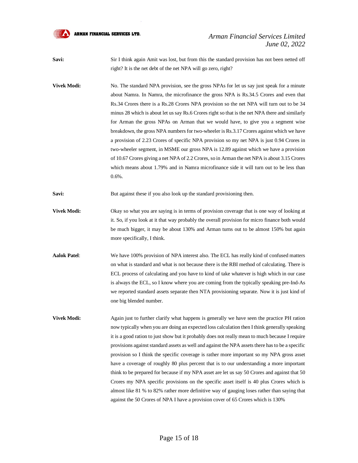

**Savi:** Sir I think again Amit was lost, but from this the standard provision has not been netted off right? It is the net debt of the net NPA will go zero, right?

**Vivek Modi:** No. The standard NPA provision, see the gross NPAs for let us say just speak for a minute about Namra. In Namra, the microfinance the gross NPA is Rs.34.5 Crores and even that Rs.34 Crores there is a Rs.28 Crores NPA provision so the net NPA will turn out to be 34 minus 28 which is about let us say Rs.6 Crores right so that is the net NPA there and similarly for Arman the gross NPAs on Arman that we would have, to give you a segment wise breakdown, the gross NPA numbers for two-wheeler is Rs.3.17 Crores against which we have a provision of 2.23 Crores of specific NPA provision so my net NPA is just 0.94 Crores in two-wheeler segment, in MSME our gross NPA is 12.89 against which we have a provision of 10.67 Crores giving a net NPA of 2.2 Crores, so in Arman the net NPA is about 3.15 Crores which means about 1.79% and in Namra microfinance side it will turn out to be less than 0.6%.

**Savi:** But against these if you also look up the standard provisioning then.

**Vivek Modi:** Okay so what you are saying is in terms of provision coverage that is one way of looking at it. So, if you look at it that way probably the overall provision for micro finance both would be much bigger, it may be about 130% and Arman turns out to be almost 150% but again more specifically, I think.

**Aalok Patel**: We have 100% provision of NPA interest also. The ECL has really kind of confused matters on what is standard and what is not because there is the RBI method of calculating. There is ECL process of calculating and you have to kind of take whatever is high which in our case is always the ECL, so I know where you are coming from the typically speaking pre-Ind-As we reported standard assets separate then NTA provisioning separate. Now it is just kind of one big blended number.

**Vivek Modi:** Again just to further clarify what happens is generally we have seen the practice PH ration now typically when you are doing an expected loss calculation then I think generally speaking it is a good ration to just show but it probably does not really mean to much because I require provisions against standard assets as well and against the NPA assets there has to be a specific provision so I think the specific coverage is rather more important so my NPA gross asset have a coverage of roughly 80 plus percent that is to our understanding a more important think to be prepared for because if my NPA asset are let us say 50 Crores and against that 50 Crores my NPA specific provisions on the specific asset itself is 40 plus Crores which is almost like 81 % to 82% rather more definitive way of gauging loses rather than saying that against the 50 Crores of NPA I have a provision cover of 65 Crores which is 130%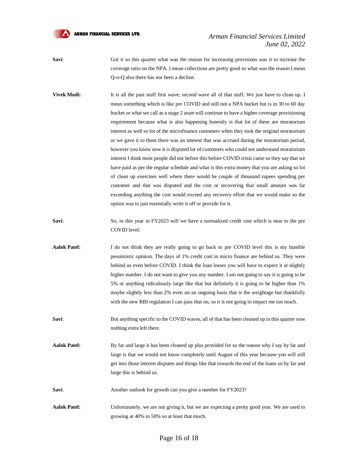

# *Arman Financial Services Limited June 02, 2022*

**Savi:** Got it so this quarter what was the reason for increasing provisions was it to increase the coverage ratio on the NPA. I mean collections are pretty good so what was the reason I mean Q-o-Q also there has not been a decline.

- **Vivek Modi:** It is all the past stuff first wave, second wave all of that stuff. We just have to clean up. I mean something which is like pre COVID and still not a NPA bucket but is in 30 to 60 day bucket or what we call as a stage 2 asset will continue to have a higher coverage provisioning requirement because what is also happening honestly is that lot of these are moratorium interest as well so lot of the microfinance customers when they took the original moratorium or we gave it to them there was an interest that was accrued during the moratorium period, however you know now it is disputed lot of customers who could not understand moratorium interest I think most people did not before this before COVID crisis came so they say that we have paid as per the regular schedule and what is this extra money that you are asking so lot of clean up exercises well where there would be couple of thousand rupees spending per customer and that was disputed and the cost or recovering that small amount was far exceeding anything the cost would exceed any recovery effort that we would make so the option was to just essentially write it off or provide for it.
- **Savi:** So, in this year in FY2023 will we have a normalized credit cost which is near to the pre COVID level.
- **Aalok Patel:** I do not think they are really going to go back to pre COVID level this is my humble pessimistic opinion. The days of 1% credit cost in micro finance are behind us. They were behind us even before COVID. I think the loan losses you will have to expect it at slightly higher number. I do not want to give you any number. I am not going to say it is going to be 5% or anything ridiculously large like that but definitely it is going to be higher than 1% maybe slightly less than 2% even on an ongoing basis that is the weightage but thankfully with the new RBI regulation I can pass that on, so it is not going to impact me too much.
- **Savi:** But anything specific to the COVID waves, all of that has been cleaned up in this quarter now nothing extra left there.
- **Aalok Patel:** By far and large it has been cleaned up plus provided for so the reason why I say by far and large is that we would not know completely until August of this year because you will still get into those interest disputes and things like that towards the end of the loans so by far and large this is behind us.
- **Savi**: Another outlook for growth can you give a number for FY2023?
- **Aalok Patel:** Unfortunately, we are not giving it, but we are expecting a pretty good year. We are used to growing at 40% to 50% so at least that much.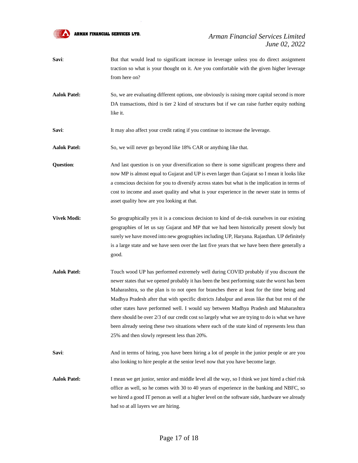

- **Savi:** But that would lead to significant increase in leverage unless you do direct assignment traction so what is your thought on it. Are you comfortable with the given higher leverage from here on?
- **Aalok Patel:** So, we are evaluating different options, one obviously is raising more capital second is more DA transactions, third is tier 2 kind of structures but if we can raise further equity nothing like it.

**Savi:** It may also affect your credit rating if you continue to increase the leverage.

Aalok Patel: So, we will never go beyond like 18% CAR or anything like that.

**Question:** And last question is on your diversification so there is some significant progress there and now MP is almost equal to Gujarat and UP is even larger than Gujarat so I mean it looks like a conscious decision for you to diversify across states but what is the implication in terms of cost to income and asset quality and what is your experience in the newer state in terms of asset quality how are you looking at that.

- **Vivek Modi:** So geographically yes it is a conscious decision to kind of de-risk ourselves in our existing geographies of let us say Gujarat and MP that we had been historically present slowly but surely we have moved into new geographies including UP, Haryana. Rajasthan. UP definitely is a large state and we have seen over the last five years that we have been there generally a good.
- **Aalok Patel:** Touch wood UP has performed extremely well during COVID probably if you discount the newer states that we opened probably it has been the best performing state the worst has been Maharashtra, so the plan is to not open for branches there at least for the time being and Madhya Pradesh after that with specific districts Jabalpur and areas like that but rest of the other states have performed well. I would say between Madhya Pradesh and Maharashtra there should be over 2/3 of our credit cost so largely what we are trying to do is what we have been already seeing these two situations where each of the state kind of represents less than 25% and then slowly represent less than 20%.
- **Savi:** And in terms of hiring, you have been hiring a lot of people in the junior people or are you also looking to hire people at the senior level now that you have become large.
- **Aalok Patel:** I mean we get junior, senior and middle level all the way, so I think we just hired a chief risk office as well, so he comes with 30 to 40 years of experience in the banking and NBFC, so we hired a good IT person as well at a higher level on the software side, hardware we already had so at all layers we are hiring.